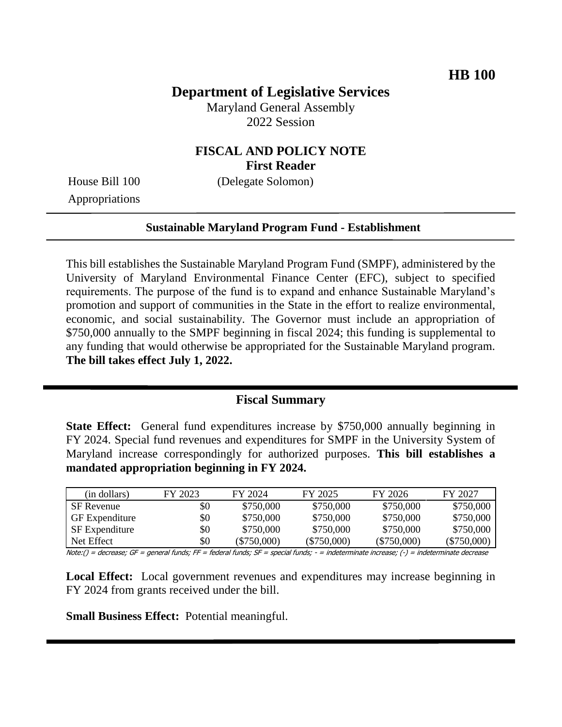## **Department of Legislative Services**

Maryland General Assembly 2022 Session

### **FISCAL AND POLICY NOTE First Reader**

House Bill 100 (Delegate Solomon)

Appropriations

#### **Sustainable Maryland Program Fund - Establishment**

This bill establishes the Sustainable Maryland Program Fund (SMPF), administered by the University of Maryland Environmental Finance Center (EFC), subject to specified requirements. The purpose of the fund is to expand and enhance Sustainable Maryland's promotion and support of communities in the State in the effort to realize environmental, economic, and social sustainability. The Governor must include an appropriation of \$750,000 annually to the SMPF beginning in fiscal 2024; this funding is supplemental to any funding that would otherwise be appropriated for the Sustainable Maryland program. **The bill takes effect July 1, 2022.**

#### **Fiscal Summary**

**State Effect:** General fund expenditures increase by \$750,000 annually beginning in FY 2024. Special fund revenues and expenditures for SMPF in the University System of Maryland increase correspondingly for authorized purposes. **This bill establishes a mandated appropriation beginning in FY 2024.**

| (in dollars)          | FY 2023 | FY 2024       | FY 2025       | FY 2026       | FY 2027       |
|-----------------------|---------|---------------|---------------|---------------|---------------|
| SF Revenue            | \$0     | \$750,000     | \$750,000     | \$750,000     | \$750,000     |
| <b>GF</b> Expenditure | \$0     | \$750,000     | \$750,000     | \$750,000     | \$750,000     |
| <b>SF</b> Expenditure | \$0     | \$750,000     | \$750,000     | \$750,000     | \$750,000     |
| Net Effect            | \$0     | $(\$750,000)$ | $(\$750,000)$ | $(\$750,000)$ | $(\$750,000)$ |

Note:() = decrease; GF = general funds; FF = federal funds; SF = special funds; - = indeterminate increase; (-) = indeterminate decrease

**Local Effect:** Local government revenues and expenditures may increase beginning in FY 2024 from grants received under the bill.

**Small Business Effect:** Potential meaningful.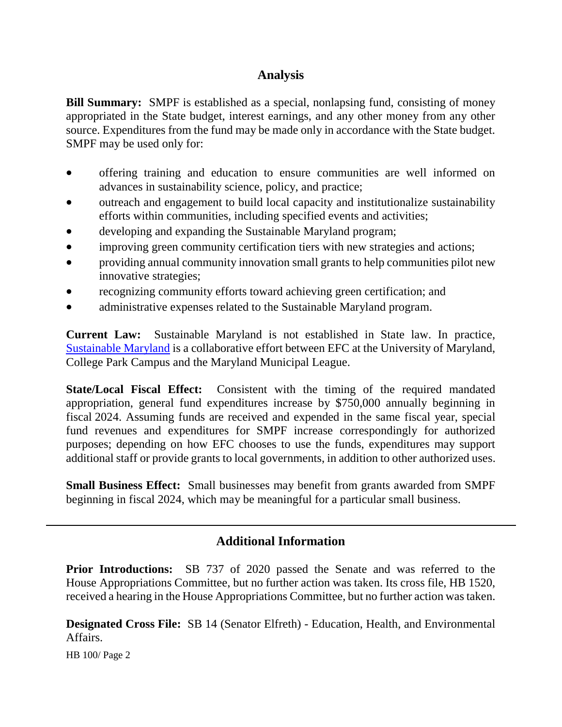## **Analysis**

**Bill Summary:** SMPF is established as a special, nonlapsing fund, consisting of money appropriated in the State budget, interest earnings, and any other money from any other source. Expenditures from the fund may be made only in accordance with the State budget. SMPF may be used only for:

- offering training and education to ensure communities are well informed on advances in sustainability science, policy, and practice;
- outreach and engagement to build local capacity and institutionalize sustainability efforts within communities, including specified events and activities;
- developing and expanding the Sustainable Maryland program;
- improving green community certification tiers with new strategies and actions;
- providing annual community innovation small grants to help communities pilot new innovative strategies;
- recognizing community efforts toward achieving green certification; and
- administrative expenses related to the Sustainable Maryland program.

**Current Law:** Sustainable Maryland is not established in State law. In practice, [Sustainable Maryland](https://sustainablemaryland.com/) is a collaborative effort between EFC at the University of Maryland, College Park Campus and the Maryland Municipal League.

**State/Local Fiscal Effect:** Consistent with the timing of the required mandated appropriation, general fund expenditures increase by \$750,000 annually beginning in fiscal 2024. Assuming funds are received and expended in the same fiscal year, special fund revenues and expenditures for SMPF increase correspondingly for authorized purposes; depending on how EFC chooses to use the funds, expenditures may support additional staff or provide grants to local governments, in addition to other authorized uses.

**Small Business Effect:** Small businesses may benefit from grants awarded from SMPF beginning in fiscal 2024, which may be meaningful for a particular small business.

# **Additional Information**

**Prior Introductions:** SB 737 of 2020 passed the Senate and was referred to the House Appropriations Committee, but no further action was taken. Its cross file, HB 1520, received a hearing in the House Appropriations Committee, but no further action was taken.

**Designated Cross File:** SB 14 (Senator Elfreth) - Education, Health, and Environmental Affairs.

HB 100/ Page 2